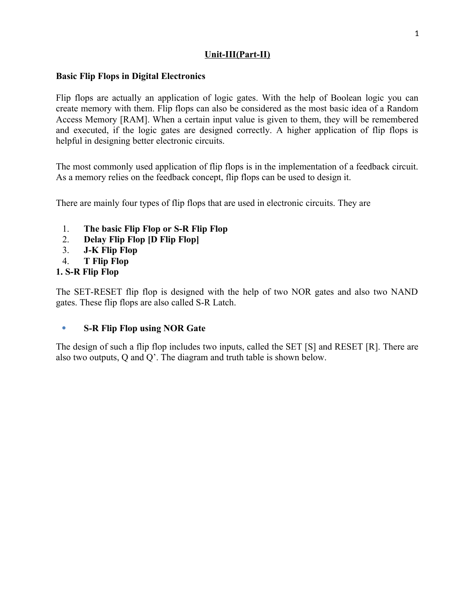# **Unit-III(Part-II)**

## **Basic Flip Flops in Digital Electronics**

Flip flops are actually an application of logic gates. With the help of Boolean logic you can create memory with them. Flip flops can also be considered as the most basic idea of a Random Access Memory [RAM]. When a certain input value is given to them, they will be remembered and executed, if the logic gates are designed correctly. A higher application of flip flops is helpful in designing better electronic circuits.

The most commonly used application of flip flops is in the implementation of a feedback circuit. As a memory relies on the feedback concept, flip flops can be used to design it.

There are mainly four types of flip flops that are used in electronic circuits. They are

- 1. **The basic Flip Flop or S-R Flip Flop**
- 2. **Delay Flip Flop [D Flip Flop]**
- 3. **J-K Flip Flop**
- 4. **T Flip Flop**

# **1. S-R Flip Flop**

The SET-RESET flip flop is designed with the help of two NOR gates and also two NAND gates. These flip flops are also called S-R Latch.

# **S-R Flip Flop using NOR Gate**

The design of such a flip flop includes two inputs, called the SET [S] and RESET [R]. There are also two outputs, Q and Q'. The diagram and truth table is shown below.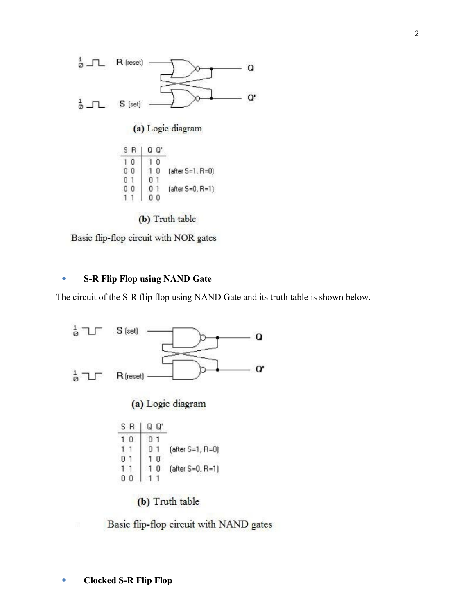

(b) Truth table

Basic flip-flop circuit with NOR gates

# **S-R Flip Flop using NAND Gate**

The circuit of the S-R flip flop using NAND Gate and its truth table is shown below.



Basic flip-flop circuit with NAND gates

2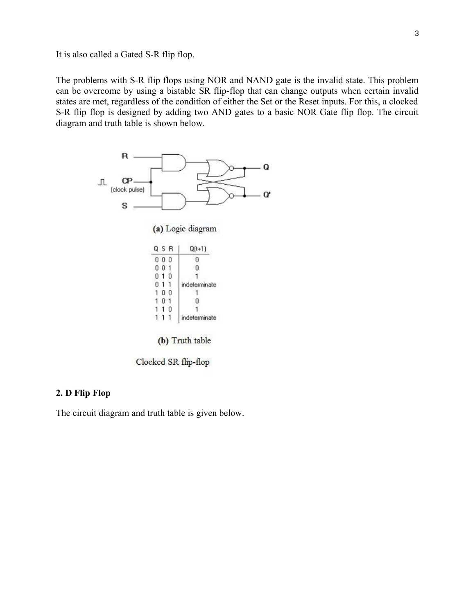It is also called a Gated S-R flip flop.

The problems with S-R flip flops using NOR and NAND gate is the invalid state. This problem can be overcome by using a bistable SR flip-flop that can change outputs when certain invalid states are met, regardless of the condition of either the Set or the Reset inputs. For this, a clocked S-R flip flop is designed by adding two AND gates to a basic NOR Gate flip flop. The circuit diagram and truth table is shown below.



(b) Truth table

Clocked SR flip-flop

## **2. D Flip Flop**

The circuit diagram and truth table is given below.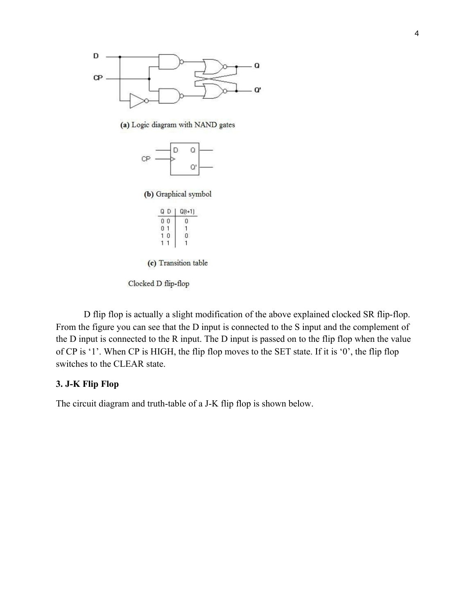

(a) Logic diagram with NAND gates



(b) Graphical symbol

| $J(t+1)$ |
|----------|
| в        |
|          |
|          |
|          |
|          |

(c) Transition table

Clocked D flip-flop

D flip flop is actually a slight modification of the above explained clocked SR flip-flop. From the figure you can see that the D input is connected to the S input and the complement of the D input is connected to the R input. The D input is passed on to the flip flop when the value of CP is '1'. When CP is HIGH, the flip flop moves to the SET state. If it is '0', the flip flop switches to the CLEAR state.

## **3. J-K Flip Flop**

The circuit diagram and truth-table of a J-K flip flop is shown below.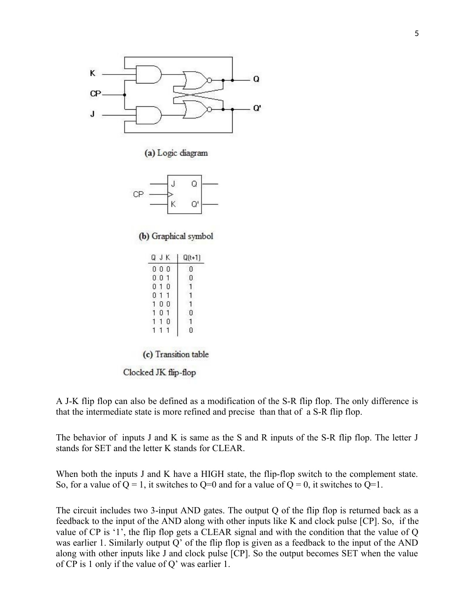

(a) Logic diagram



(b) Graphical symbol

| JΚ<br>Q     | $Q(t+1)$ |
|-------------|----------|
| 0<br>0<br>0 | 0        |
| Ō<br>0      | Ū        |
| Ö<br>0      |          |
| 0           |          |
| 0<br>Ū      |          |
| ٥           | П        |
| Ō           |          |
|             |          |
|             |          |

(c) Transition table

Clocked JK flip-flop

A J-K flip flop can also be defined as a modification of the S-R flip flop. The only difference is that the intermediate state is more refined and precise than that of a S-R flip flop.

The behavior of inputs J and K is same as the S and R inputs of the S-R flip flop. The letter J stands for SET and the letter K stands for CLEAR.

When both the inputs J and K have a HIGH state, the flip-flop switch to the complement state. So, for a value of  $Q = 1$ , it switches to  $Q=0$  and for a value of  $Q = 0$ , it switches to  $Q=1$ .

The circuit includes two 3-input AND gates. The output Q of the flip flop is returned back as a feedback to the input of the AND along with other inputs like K and clock pulse [CP]. So, if the value of CP is '1', the flip flop gets a CLEAR signal and with the condition that the value of Q was earlier 1. Similarly output Q' of the flip flop is given as a feedback to the input of the AND along with other inputs like J and clock pulse [CP]. So the output becomes SET when the value of CP is 1 only if the value of Q' was earlier 1.